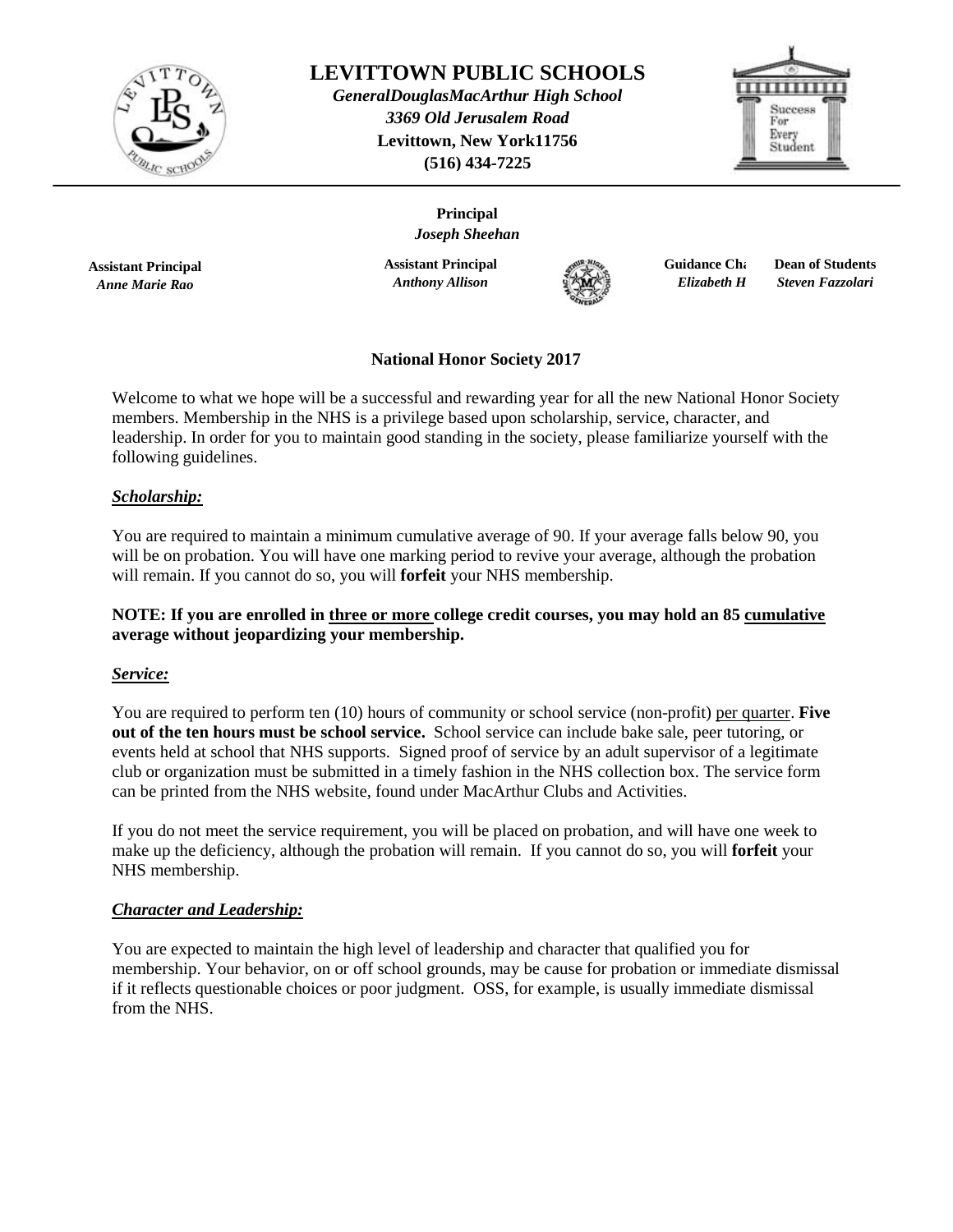

# **LEVITTOWN PUBLIC SCHOOLS**

*GeneralDouglasMacArthur High School 3369 Old Jerusalem Road*  **Levittown, New York11756 (516) 434-7225**

> **Principal** *Joseph Sheehan*



**Assistant Principal** *Anne Marie Rao*

**Assistant Principal** *Anthony Allison* 



**Guidance Chair**  $Elizabeth H$ 

**Dean of Students** *Steven Fazzolari* 

## **National Honor Society 2017**

Welcome to what we hope will be a successful and rewarding year for all the new National Honor Society members. Membership in the NHS is a privilege based upon scholarship, service, character, and leadership. In order for you to maintain good standing in the society, please familiarize yourself with the following guidelines.

### *Scholarship:*

You are required to maintain a minimum cumulative average of 90. If your average falls below 90, you will be on probation. You will have one marking period to revive your average, although the probation will remain. If you cannot do so, you will **forfeit** your NHS membership.

### **NOTE: If you are enrolled in three or more college credit courses, you may hold an 85 cumulative average without jeopardizing your membership.**

### *Service:*

You are required to perform ten (10) hours of community or school service (non-profit) per quarter. **Five out of the ten hours must be school service.** School service can include bake sale, peer tutoring, or events held at school that NHS supports. Signed proof of service by an adult supervisor of a legitimate club or organization must be submitted in a timely fashion in the NHS collection box. The service form can be printed from the NHS website, found under MacArthur Clubs and Activities.

If you do not meet the service requirement, you will be placed on probation, and will have one week to make up the deficiency, although the probation will remain. If you cannot do so, you will **forfeit** your NHS membership.

### *Character and Leadership:*

You are expected to maintain the high level of leadership and character that qualified you for membership. Your behavior, on or off school grounds, may be cause for probation or immediate dismissal if it reflects questionable choices or poor judgment. OSS, for example, is usually immediate dismissal from the NHS.